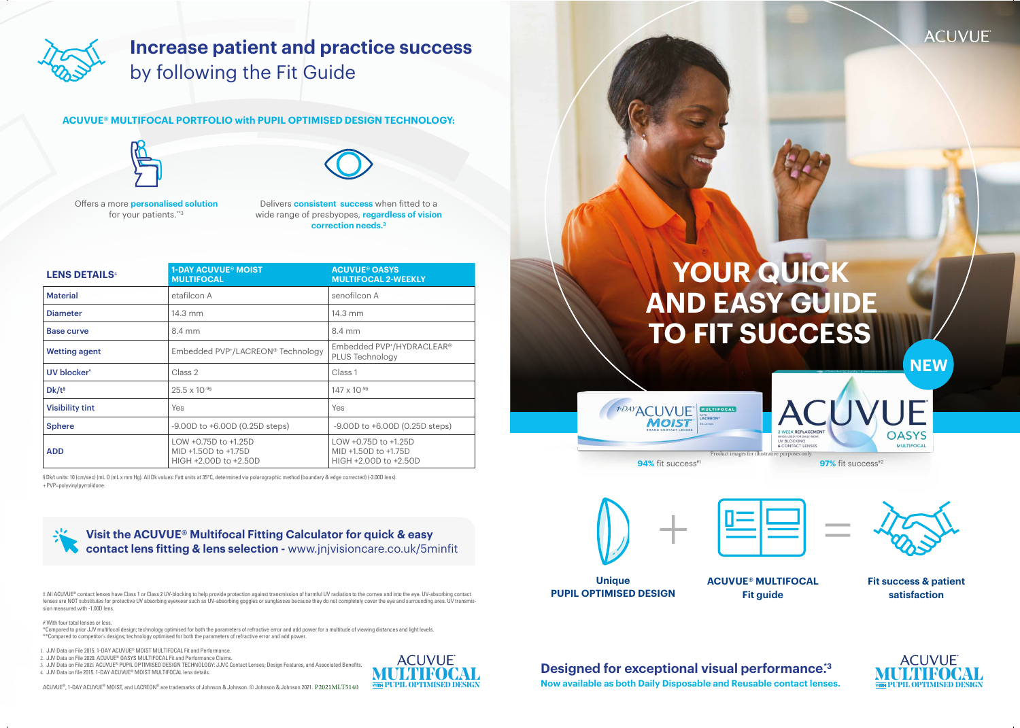# **YOUR QUICK AND EASY GUIDE TO FIT SUCCESS**



# **Increase patient and practice success**  by following the Fit Guide

**Unique PUPIL OPTIMISED DESIGN**

## **Designed for exceptional visual performance.\***3

#### **ACUVUE® MULTIFOCAL Fit guide**



**Fit success & patient satisfaction**





**Now available as both Daily Disposable and Reusable contact lenses.**





+PVP=polyvinylpyrrolidone. §Dk/t units: 10 (cm/sec) (mL 0 /mL x mm Hg). All Dk values: Fatt units at 35°C, determined via polarographic method (boundary & edge corrected) (-3.00D lens).



| <b>LENS DETAILS4</b>   | <b>1-DAY ACUVUE® MOIST</b><br><b>MULTIFOCAL</b>                       | <b>ACUVUE® OASYS</b><br><b>MULTIFOCAL 2-WEEKLY</b>                    |  |
|------------------------|-----------------------------------------------------------------------|-----------------------------------------------------------------------|--|
| <b>Material</b>        | etafilcon A                                                           | senofilcon A                                                          |  |
| <b>Diameter</b>        | $14.3 \text{ mm}$                                                     | $14.3 \text{ mm}$                                                     |  |
| <b>Base curve</b>      | 8.4 mm                                                                | 8.4 mm                                                                |  |
| <b>Wetting agent</b>   | Embedded PVP <sup>+</sup> /LACREON® Technology                        | Embedded PVP <sup>+</sup> /HYDRACLEAR®<br>PLUS Technology             |  |
| UV blocker*            | Class 2                                                               | Class 1                                                               |  |
| $Dk/t^s$               | $25.5 \times 10^{-95}$                                                | $147 \times 10^{-95}$                                                 |  |
| <b>Visibility tint</b> | Yes                                                                   | Yes                                                                   |  |
| <b>Sphere</b>          | $-9.00D$ to $+6.00D$ (0.25D steps)                                    | $-9.00D$ to $+6.00D$ (0.25D steps)                                    |  |
| <b>ADD</b>             | LOW +0.75D to +1.25D<br>MID +1.50D to +1.75D<br>HIGH +2.00D to +2.50D | LOW +0.75D to +1.25D<br>MID +1.50D to +1.75D<br>HIGH +2.00D to +2.50D |  |

\*Compared to prior JJV multifocal design; technology optimised for both the parameters of refractive error and add power for a multitude of viewing distances and light levels. \*\*Compared to competitor's designs; technology optimised for both the parameters of refractive error and add power.

- 1 J.IV Data on File 2015 1-DAY ACUVUE® MOIST MULTIFOCAL Fit and Performance.
- 2. JJV Data on File 2020. ACUVUE® OASYS MULTIFOCAL Fit and Performance Claims.

3. JJV Data on File 2021 ACUVUE® PUPIL OPTIMISED DESIGN TECHNOLOGY: JJVC Contact Lenses, Design Features, and Associated Benefits.<br>4. JJV Data on file 2015. 1-DAY ACUVUE® MOIST MULTIFOCAL lens details.  $\text{MUL}$  **Designed for exceptional Visual Visual Performance.**<br>A LUV Data on file 2015. 1-DAY ACUVUE® MOIST MULTIFOCAL lens details.<br>ACUVUE®, 1-DAY ACUVUE® MOIST, and LACREON® are trademarks of Johnson & Johnson & Johnson



‡ All ACUVUE® contact lenses have Class 1 or Class 2 UV-blocking to help provide protection against transmission of harmful UV radiation to the cornea and into the eye. UV-absorbing contact lenses are NOT substitutes for protective UV absorbing eyewear such as UV-absorbing goggles or sunglasses because they do not completely cover the eye and surrounding area. UV transmission measured with -1.00D lens.

# With four total lenses or less.

**NEW**

**Visit the ACUVUE® Multifocal Fitting Calculator for quick & easy contact lens fitting & lens selection -** www.jnjvisioncare.co.uk/5minfit

Delivers **consistent success** when fitted to a wide range of presbyopes, **regardless of vision correction needs.3**

#### **ACUVUE® MULTIFOCAL PORTFOLIO with PUPIL OPTIMISED DESIGN TECHNOLOGY:**





Offers a more **personalised solution** for your patients.\*\*3